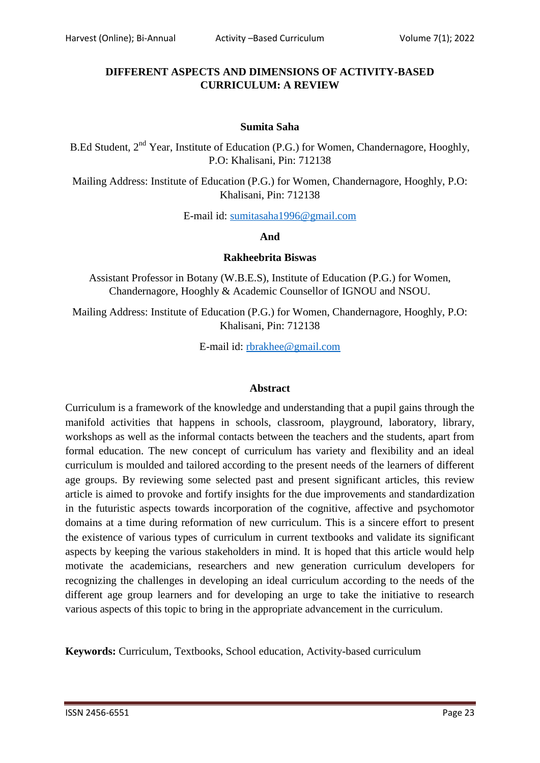## **DIFFERENT ASPECTS AND DIMENSIONS OF ACTIVITY-BASED CURRICULUM: A REVIEW**

#### **Sumita Saha**

B.Ed Student, 2<sup>nd</sup> Year, Institute of Education (P.G.) for Women, Chandernagore, Hooghly, P.O: Khalisani, Pin: 712138

Mailing Address: Institute of Education (P.G.) for Women, Chandernagore, Hooghly, P.O: Khalisani, Pin: 712138

E-mail id: [sumitasaha1996@gmail.com](mailto:sumitasaha1996@gmail.com)

#### **And**

#### **Rakheebrita Biswas**

Assistant Professor in Botany (W.B.E.S), Institute of Education (P.G.) for Women, Chandernagore, Hooghly & Academic Counsellor of IGNOU and NSOU.

Mailing Address: Institute of Education (P.G.) for Women, Chandernagore, Hooghly, P.O: Khalisani, Pin: 712138

E-mail id: [rbrakhee@gmail.com](mailto:rbrakhee@gmail.com)

### **Abstract**

Curriculum is a framework of the knowledge and understanding that a pupil gains through the manifold activities that happens in schools, classroom, playground, laboratory, library, workshops as well as the informal contacts between the teachers and the students, apart from formal education. The new concept of curriculum has variety and flexibility and an ideal curriculum is moulded and tailored according to the present needs of the learners of different age groups. By reviewing some selected past and present significant articles, this review article is aimed to provoke and fortify insights for the due improvements and standardization in the futuristic aspects towards incorporation of the cognitive, affective and psychomotor domains at a time during reformation of new curriculum. This is a sincere effort to present the existence of various types of curriculum in current textbooks and validate its significant aspects by keeping the various stakeholders in mind. It is hoped that this article would help motivate the academicians, researchers and new generation curriculum developers for recognizing the challenges in developing an ideal curriculum according to the needs of the different age group learners and for developing an urge to take the initiative to research various aspects of this topic to bring in the appropriate advancement in the curriculum.

**Keywords:** Curriculum, Textbooks, School education, Activity-based curriculum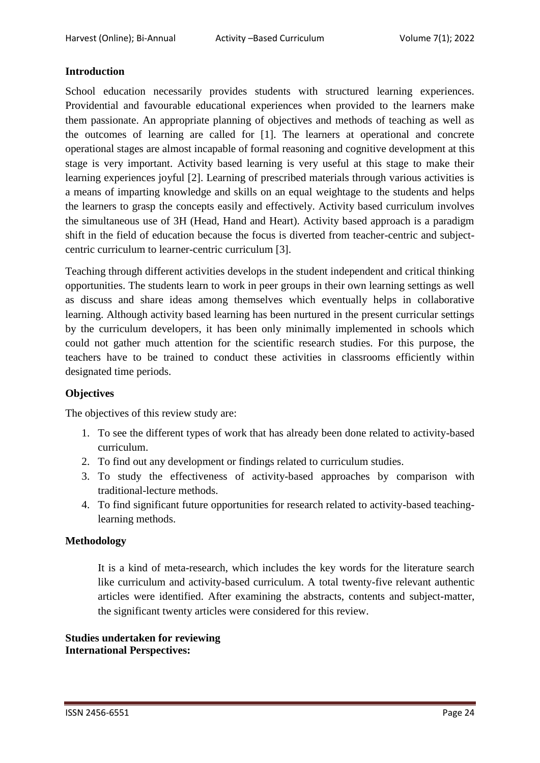## **Introduction**

School education necessarily provides students with structured learning experiences. Providential and favourable educational experiences when provided to the learners make them passionate. An appropriate planning of objectives and methods of teaching as well as the outcomes of learning are called for [1]. The learners at operational and concrete operational stages are almost incapable of formal reasoning and cognitive development at this stage is very important. Activity based learning is very useful at this stage to make their learning experiences joyful [2]. Learning of prescribed materials through various activities is a means of imparting knowledge and skills on an equal weightage to the students and helps the learners to grasp the concepts easily and effectively. Activity based curriculum involves the simultaneous use of 3H (Head, Hand and Heart). Activity based approach is a paradigm shift in the field of education because the focus is diverted from teacher-centric and subjectcentric curriculum to learner-centric curriculum [3].

Teaching through different activities develops in the student independent and critical thinking opportunities. The students learn to work in peer groups in their own learning settings as well as discuss and share ideas among themselves which eventually helps in collaborative learning. Although activity based learning has been nurtured in the present curricular settings by the curriculum developers, it has been only minimally implemented in schools which could not gather much attention for the scientific research studies. For this purpose, the teachers have to be trained to conduct these activities in classrooms efficiently within designated time periods.

### **Objectives**

The objectives of this review study are:

- 1. To see the different types of work that has already been done related to activity-based curriculum.
- 2. To find out any development or findings related to curriculum studies.
- 3. To study the effectiveness of activity-based approaches by comparison with traditional-lecture methods.
- 4. To find significant future opportunities for research related to activity-based teachinglearning methods.

### **Methodology**

It is a kind of meta-research, which includes the key words for the literature search like curriculum and activity-based curriculum. A total twenty-five relevant authentic articles were identified. After examining the abstracts, contents and subject-matter, the significant twenty articles were considered for this review.

**Studies undertaken for reviewing International Perspectives:**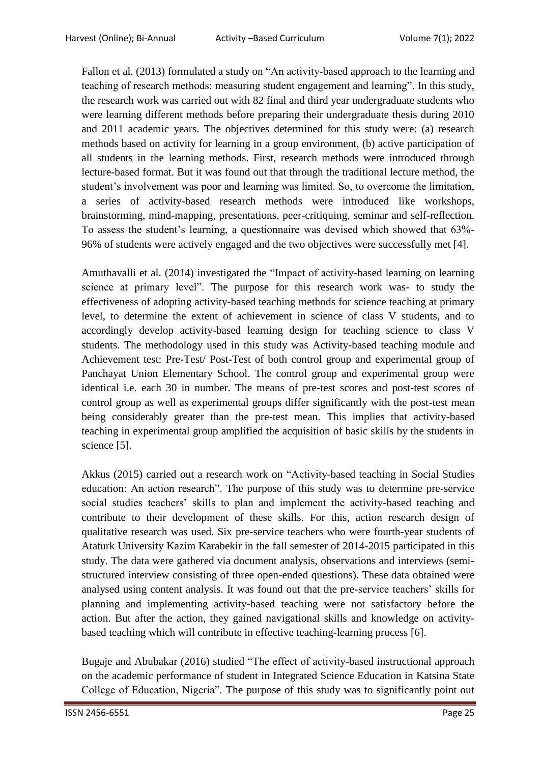Fallon et al. (2013) formulated a study on "An activity-based approach to the learning and teaching of research methods: measuring student engagement and learning". In this study, the research work was carried out with 82 final and third year undergraduate students who were learning different methods before preparing their undergraduate thesis during 2010 and 2011 academic years. The objectives determined for this study were: (a) research methods based on activity for learning in a group environment, (b) active participation of all students in the learning methods. First, research methods were introduced through lecture-based format. But it was found out that through the traditional lecture method, the student's involvement was poor and learning was limited. So, to overcome the limitation, a series of activity-based research methods were introduced like workshops, brainstorming, mind-mapping, presentations, peer-critiquing, seminar and self-reflection. To assess the student's learning, a questionnaire was devised which showed that 63%- 96% of students were actively engaged and the two objectives were successfully met [4].

Amuthavalli et al. (2014) investigated the "Impact of activity-based learning on learning science at primary level". The purpose for this research work was- to study the effectiveness of adopting activity-based teaching methods for science teaching at primary level, to determine the extent of achievement in science of class V students, and to accordingly develop activity-based learning design for teaching science to class V students. The methodology used in this study was Activity-based teaching module and Achievement test: Pre-Test/ Post-Test of both control group and experimental group of Panchayat Union Elementary School. The control group and experimental group were identical i.e. each 30 in number. The means of pre-test scores and post-test scores of control group as well as experimental groups differ significantly with the post-test mean being considerably greater than the pre-test mean. This implies that activity-based teaching in experimental group amplified the acquisition of basic skills by the students in science [5].

Akkus (2015) carried out a research work on "Activity-based teaching in Social Studies education: An action research". The purpose of this study was to determine pre-service social studies teachers' skills to plan and implement the activity-based teaching and contribute to their development of these skills. For this, action research design of qualitative research was used. Six pre-service teachers who were fourth-year students of Ataturk University Kazim Karabekir in the fall semester of 2014-2015 participated in this study. The data were gathered via document analysis, observations and interviews (semistructured interview consisting of three open-ended questions). These data obtained were analysed using content analysis. It was found out that the pre-service teachers' skills for planning and implementing activity-based teaching were not satisfactory before the action. But after the action, they gained navigational skills and knowledge on activitybased teaching which will contribute in effective teaching-learning process [6].

Bugaje and Abubakar (2016) studied "The effect of activity-based instructional approach on the academic performance of student in Integrated Science Education in Katsina State College of Education, Nigeria". The purpose of this study was to significantly point out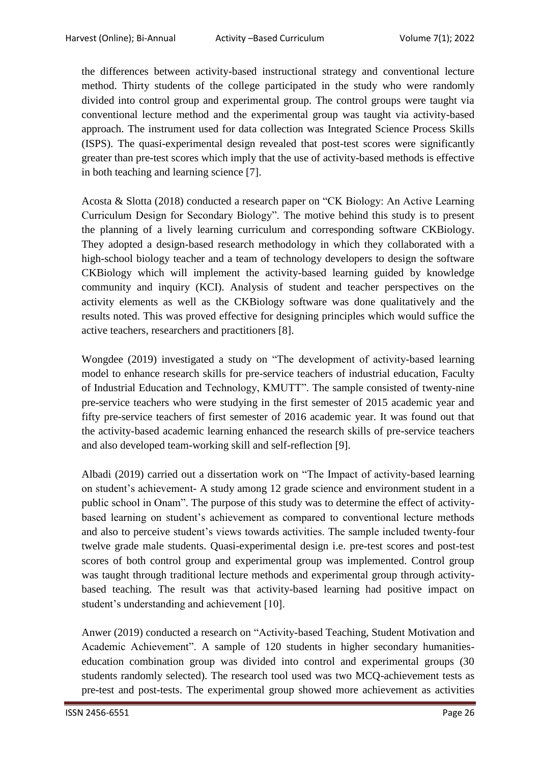the differences between activity-based instructional strategy and conventional lecture method. Thirty students of the college participated in the study who were randomly divided into control group and experimental group. The control groups were taught via conventional lecture method and the experimental group was taught via activity-based approach. The instrument used for data collection was Integrated Science Process Skills (ISPS). The quasi-experimental design revealed that post-test scores were significantly greater than pre-test scores which imply that the use of activity-based methods is effective in both teaching and learning science [7].

Acosta & Slotta (2018) conducted a research paper on "CK Biology: An Active Learning Curriculum Design for Secondary Biology". The motive behind this study is to present the planning of a lively learning curriculum and corresponding software CKBiology. They adopted a design-based research methodology in which they collaborated with a high-school biology teacher and a team of technology developers to design the software CKBiology which will implement the activity-based learning guided by knowledge community and inquiry (KCI). Analysis of student and teacher perspectives on the activity elements as well as the CKBiology software was done qualitatively and the results noted. This was proved effective for designing principles which would suffice the active teachers, researchers and practitioners [8].

Wongdee (2019) investigated a study on "The development of activity-based learning model to enhance research skills for pre-service teachers of industrial education, Faculty of Industrial Education and Technology, KMUTT". The sample consisted of twenty-nine pre-service teachers who were studying in the first semester of 2015 academic year and fifty pre-service teachers of first semester of 2016 academic year. It was found out that the activity-based academic learning enhanced the research skills of pre-service teachers and also developed team-working skill and self-reflection [9].

Albadi (2019) carried out a dissertation work on "The Impact of activity-based learning on student's achievement- A study among 12 grade science and environment student in a public school in Onam". The purpose of this study was to determine the effect of activitybased learning on student's achievement as compared to conventional lecture methods and also to perceive student's views towards activities. The sample included twenty-four twelve grade male students. Quasi-experimental design i.e. pre-test scores and post-test scores of both control group and experimental group was implemented. Control group was taught through traditional lecture methods and experimental group through activitybased teaching. The result was that activity-based learning had positive impact on student's understanding and achievement [10].

Anwer (2019) conducted a research on "Activity-based Teaching, Student Motivation and Academic Achievement". A sample of 120 students in higher secondary humanitieseducation combination group was divided into control and experimental groups (30 students randomly selected). The research tool used was two MCQ-achievement tests as pre-test and post-tests. The experimental group showed more achievement as activities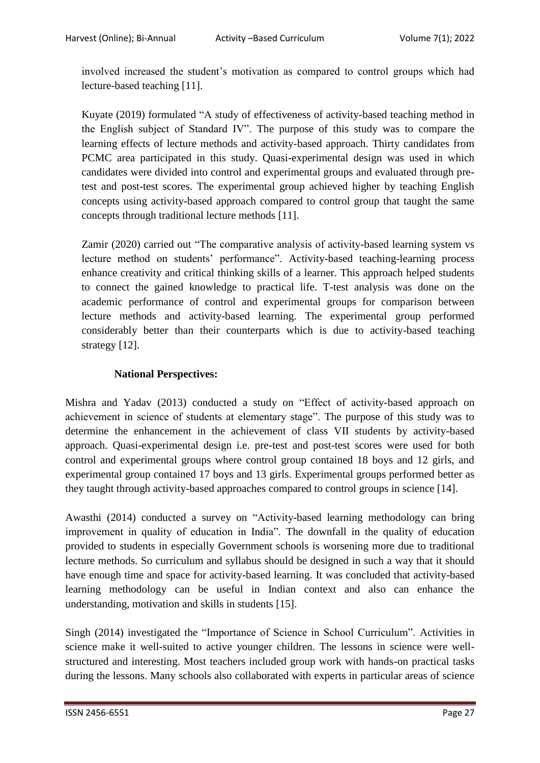involved increased the student's motivation as compared to control groups which had lecture-based teaching [11].

Kuyate (2019) formulated "A study of effectiveness of activity-based teaching method in the English subject of Standard IV". The purpose of this study was to compare the learning effects of lecture methods and activity-based approach. Thirty candidates from PCMC area participated in this study. Quasi-experimental design was used in which candidates were divided into control and experimental groups and evaluated through pretest and post-test scores. The experimental group achieved higher by teaching English concepts using activity-based approach compared to control group that taught the same concepts through traditional lecture methods [11].

Zamir (2020) carried out "The comparative analysis of activity-based learning system vs lecture method on students' performance". Activity-based teaching-learning process enhance creativity and critical thinking skills of a learner. This approach helped students to connect the gained knowledge to practical life. T-test analysis was done on the academic performance of control and experimental groups for comparison between lecture methods and activity-based learning. The experimental group performed considerably better than their counterparts which is due to activity-based teaching strategy [12].

# **National Perspectives:**

Mishra and Yadav (2013) conducted a study on "Effect of activity-based approach on achievement in science of students at elementary stage". The purpose of this study was to determine the enhancement in the achievement of class VII students by activity-based approach. Quasi-experimental design i.e. pre-test and post-test scores were used for both control and experimental groups where control group contained 18 boys and 12 girls, and experimental group contained 17 boys and 13 girls. Experimental groups performed better as they taught through activity-based approaches compared to control groups in science [14].

Awasthi (2014) conducted a survey on "Activity-based learning methodology can bring improvement in quality of education in India". The downfall in the quality of education provided to students in especially Government schools is worsening more due to traditional lecture methods. So curriculum and syllabus should be designed in such a way that it should have enough time and space for activity-based learning. It was concluded that activity-based learning methodology can be useful in Indian context and also can enhance the understanding, motivation and skills in students [15].

Singh (2014) investigated the "Importance of Science in School Curriculum". Activities in science make it well-suited to active younger children. The lessons in science were wellstructured and interesting. Most teachers included group work with hands-on practical tasks during the lessons. Many schools also collaborated with experts in particular areas of science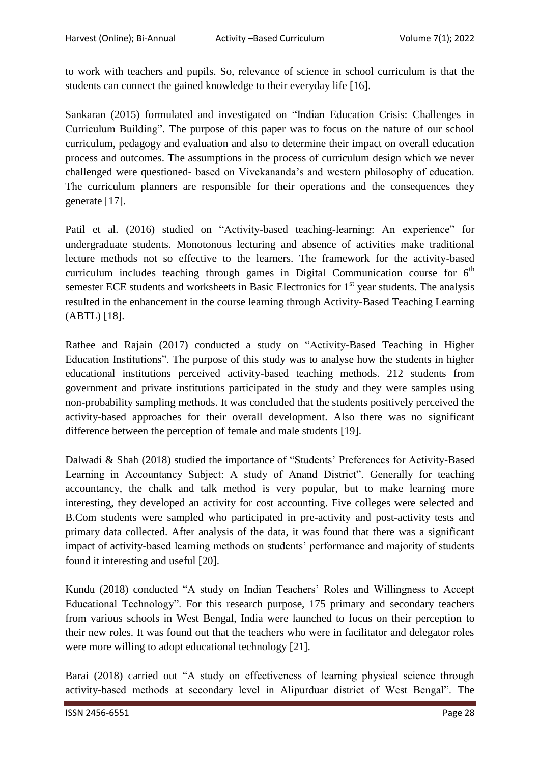to work with teachers and pupils. So, relevance of science in school curriculum is that the students can connect the gained knowledge to their everyday life [16].

Sankaran (2015) formulated and investigated on "Indian Education Crisis: Challenges in Curriculum Building". The purpose of this paper was to focus on the nature of our school curriculum, pedagogy and evaluation and also to determine their impact on overall education process and outcomes. The assumptions in the process of curriculum design which we never challenged were questioned- based on Vivekananda's and western philosophy of education. The curriculum planners are responsible for their operations and the consequences they generate [17].

Patil et al. (2016) studied on "Activity-based teaching-learning: An experience" for undergraduate students. Monotonous lecturing and absence of activities make traditional lecture methods not so effective to the learners. The framework for the activity-based curriculum includes teaching through games in Digital Communication course for  $6<sup>th</sup>$ semester ECE students and worksheets in Basic Electronics for  $1<sup>st</sup>$  year students. The analysis resulted in the enhancement in the course learning through Activity-Based Teaching Learning (ABTL) [18].

Rathee and Rajain (2017) conducted a study on "Activity-Based Teaching in Higher Education Institutions". The purpose of this study was to analyse how the students in higher educational institutions perceived activity-based teaching methods. 212 students from government and private institutions participated in the study and they were samples using non-probability sampling methods. It was concluded that the students positively perceived the activity-based approaches for their overall development. Also there was no significant difference between the perception of female and male students [19].

Dalwadi & Shah (2018) studied the importance of "Students' Preferences for Activity-Based Learning in Accountancy Subject: A study of Anand District". Generally for teaching accountancy, the chalk and talk method is very popular, but to make learning more interesting, they developed an activity for cost accounting. Five colleges were selected and B.Com students were sampled who participated in pre-activity and post-activity tests and primary data collected. After analysis of the data, it was found that there was a significant impact of activity-based learning methods on students' performance and majority of students found it interesting and useful [20].

Kundu (2018) conducted "A study on Indian Teachers' Roles and Willingness to Accept Educational Technology". For this research purpose, 175 primary and secondary teachers from various schools in West Bengal, India were launched to focus on their perception to their new roles. It was found out that the teachers who were in facilitator and delegator roles were more willing to adopt educational technology [21].

Barai (2018) carried out "A study on effectiveness of learning physical science through activity-based methods at secondary level in Alipurduar district of West Bengal". The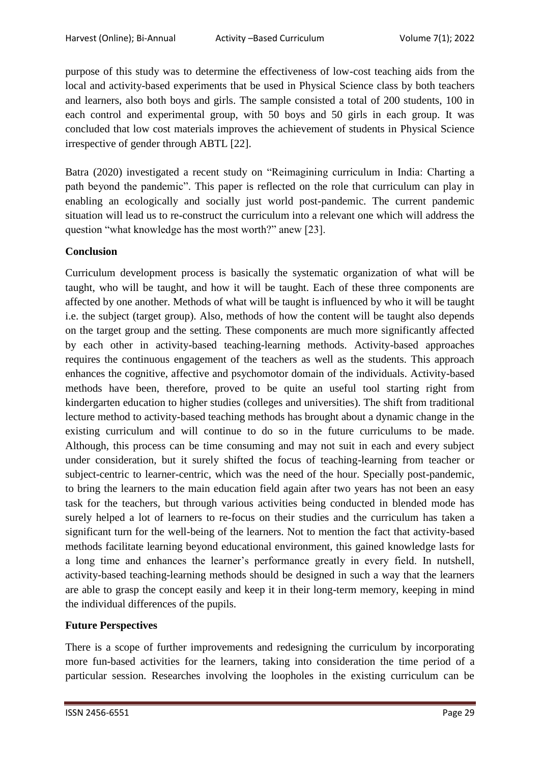purpose of this study was to determine the effectiveness of low-cost teaching aids from the local and activity-based experiments that be used in Physical Science class by both teachers and learners, also both boys and girls. The sample consisted a total of 200 students, 100 in each control and experimental group, with 50 boys and 50 girls in each group. It was concluded that low cost materials improves the achievement of students in Physical Science irrespective of gender through ABTL [22].

Batra (2020) investigated a recent study on "Reimagining curriculum in India: Charting a path beyond the pandemic". This paper is reflected on the role that curriculum can play in enabling an ecologically and socially just world post-pandemic. The current pandemic situation will lead us to re-construct the curriculum into a relevant one which will address the question "what knowledge has the most worth?" anew [23].

### **Conclusion**

Curriculum development process is basically the systematic organization of what will be taught, who will be taught, and how it will be taught. Each of these three components are affected by one another. Methods of what will be taught is influenced by who it will be taught i.e. the subject (target group). Also, methods of how the content will be taught also depends on the target group and the setting. These components are much more significantly affected by each other in activity-based teaching-learning methods. Activity-based approaches requires the continuous engagement of the teachers as well as the students. This approach enhances the cognitive, affective and psychomotor domain of the individuals. Activity-based methods have been, therefore, proved to be quite an useful tool starting right from kindergarten education to higher studies (colleges and universities). The shift from traditional lecture method to activity-based teaching methods has brought about a dynamic change in the existing curriculum and will continue to do so in the future curriculums to be made. Although, this process can be time consuming and may not suit in each and every subject under consideration, but it surely shifted the focus of teaching-learning from teacher or subject-centric to learner-centric, which was the need of the hour. Specially post-pandemic, to bring the learners to the main education field again after two years has not been an easy task for the teachers, but through various activities being conducted in blended mode has surely helped a lot of learners to re-focus on their studies and the curriculum has taken a significant turn for the well-being of the learners. Not to mention the fact that activity-based methods facilitate learning beyond educational environment, this gained knowledge lasts for a long time and enhances the learner's performance greatly in every field. In nutshell, activity-based teaching-learning methods should be designed in such a way that the learners are able to grasp the concept easily and keep it in their long-term memory, keeping in mind the individual differences of the pupils.

### **Future Perspectives**

There is a scope of further improvements and redesigning the curriculum by incorporating more fun-based activities for the learners, taking into consideration the time period of a particular session. Researches involving the loopholes in the existing curriculum can be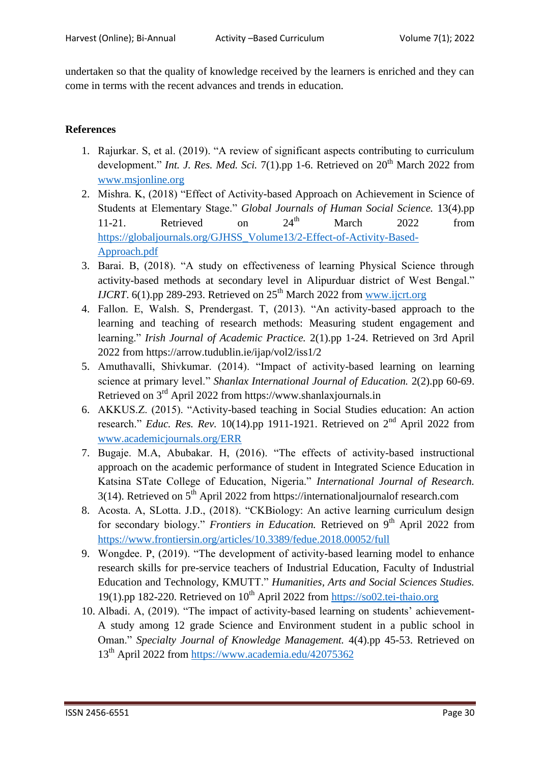undertaken so that the quality of knowledge received by the learners is enriched and they can come in terms with the recent advances and trends in education.

### **References**

- 1. Rajurkar. S, et al. (2019). "A review of significant aspects contributing to curriculum development." *Int. J. Res. Med. Sci.* 7(1).pp 1-6. Retrieved on  $20<sup>th</sup>$  March 2022 from [www.msjonline.org](http://www.msjonline.org/)
- 2. Mishra. K, (2018) "Effect of Activity-based Approach on Achievement in Science of Students at Elementary Stage." *Global Journals of Human Social Science.* 13(4).pp 11-21. Retrieved on  $24<sup>th</sup>$  March 2022 from [https://globaljournals.org/GJHSS\\_Volume13/2-Effect-of-Activity-Based-](https://globaljournals.org/GJHSS_Volume13/2-Effect-of-Activity-Based-Approach.pdf)[Approach.pdf](https://globaljournals.org/GJHSS_Volume13/2-Effect-of-Activity-Based-Approach.pdf)
- 3. Barai. B, (2018). "A study on effectiveness of learning Physical Science through activity-based methods at secondary level in Alipurduar district of West Bengal." *IJCRT*. 6(1).pp 289-293. Retrieved on  $25<sup>th</sup>$  March 2022 from [www.ijcrt.org](http://www.ijcrt.org/)
- 4. Fallon. E, Walsh. S, Prendergast. T, (2013). "An activity-based approach to the learning and teaching of research methods: Measuring student engagement and learning." *Irish Journal of Academic Practice.* 2(1).pp 1-24. Retrieved on 3rd April 2022 from https://arrow.tudublin.ie/ijap/vol2/iss1/2
- 5. Amuthavalli, Shivkumar. (2014). "Impact of activity-based learning on learning science at primary level." *Shanlax International Journal of Education.* 2(2).pp 60-69. Retrieved on 3rd April 2022 from https://www.shanlaxjournals.in
- 6. AKKUS.Z. (2015). "Activity-based teaching in Social Studies education: An action research." *Educ. Res. Rev.* 10(14).pp 1911-1921. Retrieved on  $2<sup>nd</sup>$  April 2022 from [www.academicjournals.org/ERR](http://www.academicjournals.org/ERR)
- 7. Bugaje. M.A, Abubakar. H, (2016). "The effects of activity-based instructional approach on the academic performance of student in Integrated Science Education in Katsina STate College of Education, Nigeria." *International Journal of Research.*  $3(14)$ . Retrieved on  $5<sup>th</sup>$  April 2022 from https://internationaljournalof research.com
- 8. Acosta. A, SLotta. J.D., (2018). "CKBiology: An active learning curriculum design for secondary biology." *Frontiers in Education*. Retrieved on 9<sup>th</sup> April 2022 from <https://www.frontiersin.org/articles/10.3389/fedue.2018.00052/full>
- 9. Wongdee. P, (2019). "The development of activity-based learning model to enhance research skills for pre-service teachers of Industrial Education, Faculty of Industrial Education and Technology, KMUTT." *Humanities, Arts and Social Sciences Studies.* 19(1).pp 182-220. Retrieved on  $10^{th}$  April 2022 from [https://so02.tei-thaio.org](https://so02.tei-thaio.org/)
- 10. Albadi. A, (2019). "The impact of activity-based learning on students' achievement-A study among 12 grade Science and Environment student in a public school in Oman." *Specialty Journal of Knowledge Management.* 4(4).pp 45-53. Retrieved on 13th April 2022 from<https://www.academia.edu/42075362>